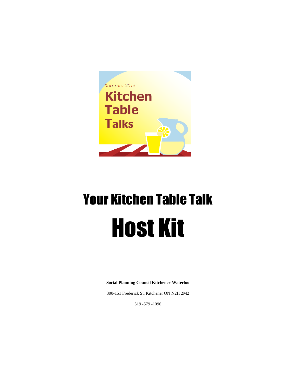

# Your Kitchen Table Talk Host Kit

**Social Planning Council Kitchener-Waterloo**

300-151 Frederick St. Kitchener ON N2H 2M2

519 -579 -1096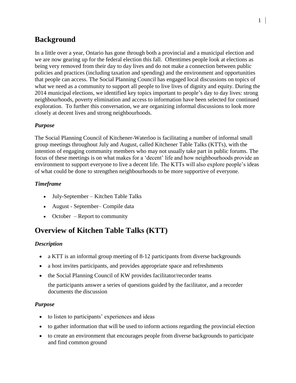# **Background**

In a little over a year, Ontario has gone through both a provincial and a municipal election and we are now gearing up for the federal election this fall. Oftentimes people look at elections as being very removed from their day to day lives and do not make a connection between public policies and practices (including taxation and spending) and the environment and opportunities that people can access. The Social Planning Council has engaged local discussions on topics of what we need as a community to support all people to live lives of dignity and equity. During the 2014 municipal elections, we identified key topics important to people's day to day lives: strong neighbourhoods, poverty elimination and access to information have been selected for continued exploration. To further this conversation, we are organizing informal discussions to look more closely at decent lives and strong neighbourhoods.

#### *Purpose*

The Social Planning Council of Kitchener-Waterloo is facilitating a number of informal small group meetings throughout July and August, called Kitchener Table Talks (KTTs), with the intention of engaging community members who may not usually take part in public forums. The focus of these meetings is on what makes for a 'decent' life and how neighbourhoods provide an environment to support everyone to live a decent life. The KTTs will also explore people's ideas of what could be done to strengthen neighbourhoods to be more supportive of everyone.

#### *Timeframe*

- July-September Kitchen Table Talks
- August September– Compile data
- October Report to community

## **Overview of Kitchen Table Talks (KTT)**

#### *Description*

- a KTT is an informal group meeting of 8-12 participants from diverse backgrounds
- a host invites participants, and provides appropriate space and refreshments
- the Social Planning Council of KW provides facilitator/recorder teams

the participants answer a series of questions guided by the facilitator, and a recorder documents the discussion

#### *Purpose*

- to listen to participants' experiences and ideas
- to gather information that will be used to inform actions regarding the provincial election
- to create an environment that encourages people from diverse backgrounds to participate and find common ground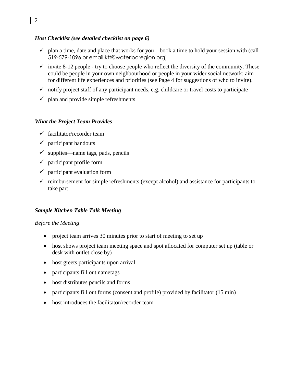#### *Host Checklist (see detailed checklist on page 6)*

- $\checkmark$  plan a time, date and place that works for you—book a time to hold your session with (call 519-579-1096 or email ktt@waterlooregion.org)
- $\checkmark$  invite 8-12 people try to choose people who reflect the diversity of the community. These could be people in your own neighbourhood or people in your wider social network: aim for different life experiences and priorities (see Page 4 for suggestions of who to invite).
- $\checkmark$  notify project staff of any participant needs, e.g. childcare or travel costs to participate
- $\checkmark$  plan and provide simple refreshments

#### *What the Project Team Provides*

- $\checkmark$  facilitator/recorder team
- $\checkmark$  participant handouts
- $\checkmark$  supplies—name tags, pads, pencils
- $\checkmark$  participant profile form
- $\checkmark$  participant evaluation form
- $\checkmark$  reimbursement for simple refreshments (except alcohol) and assistance for participants to take part

#### *Sample Kitchen Table Talk Meeting*

#### *Before the Meeting*

- project team arrives 30 minutes prior to start of meeting to set up
- host shows project team meeting space and spot allocated for computer set up (table or desk with outlet close by)
- host greets participants upon arrival
- participants fill out nametags
- host distributes pencils and forms
- participants fill out forms (consent and profile) provided by facilitator (15 min)
- host introduces the facilitator/recorder team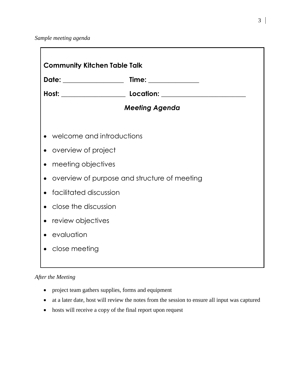*Sample meeting agenda*

| Date: ________________    | Time: _______________                        |  |
|---------------------------|----------------------------------------------|--|
|                           |                                              |  |
|                           | <b>Meeting Agenda</b>                        |  |
| welcome and introductions |                                              |  |
| overview of project       |                                              |  |
| meeting objectives        |                                              |  |
|                           | overview of purpose and structure of meeting |  |
| facilitated discussion    |                                              |  |
| close the discussion      |                                              |  |
| • review objectives       |                                              |  |
| evaluation                |                                              |  |
| close meeting             |                                              |  |

#### *After the Meeting*

- project team gathers supplies, forms and equipment
- at a later date, host will review the notes from the session to ensure all input was captured
- hosts will receive a copy of the final report upon request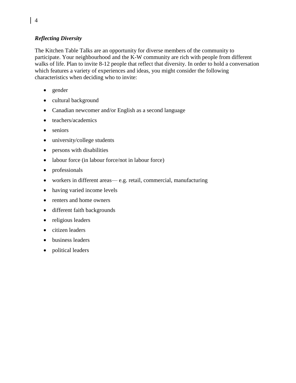#### *Reflecting Diversity*

The Kitchen Table Talks are an opportunity for diverse members of the community to participate. Your neighbourhood and the K-W community are rich with people from different walks of life. Plan to invite 8-12 people that reflect that diversity. In order to hold a conversation which features a variety of experiences and ideas, you might consider the following characteristics when deciding who to invite:

- gender
- cultural background
- Canadian newcomer and/or English as a second language
- teachers/academics
- seniors
- university/college students
- persons with disabilities
- labour force (in labour force/not in labour force)
- professionals
- workers in different areas— e.g. retail, commercial, manufacturing
- having varied income levels
- renters and home owners
- different faith backgrounds
- religious leaders
- citizen leaders
- business leaders
- political leaders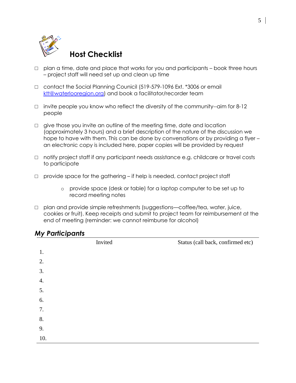

# **Host Checklist**

- $\Box$  plan a time, date and place that works for you and participants book three hours – project staff will need set up and clean up time
- □ contact the Social Planning Counicil (519-579-1096 Ext. \*3006 or email [ktt@waterlooregion.org\)](mailto:ktt@waterlooregion.org) and book a facilitator/recorder team
- $\Box$  invite people you know who reflect the diversity of the community--aim for 8-12 people
- $\Box$  give those you invite an outline of the meeting time, date and location (approximately 3 hours) and a brief description of the nature of the discussion we hope to have with them. This can be done by conversations or by providing a flyer – an electronic copy is included here, paper copies will be provided by request
- □ notify project staff if any participant needs assistance e.g. childcare or travel costs to participate
- $\Box$  provide space for the gathering if help is needed, contact project staff
	- o provide space (desk or table) for a laptop computer to be set up to record meeting notes
- □ plan and provide simple refreshments (suggestions—coffee/tea, water, juice, cookies or fruit). Keep receipts and submit to project team for reimbursement at the end of meeting (reminder: we cannot reimburse for alcohol)

### *My Participants*

|     | Invited | Status (call back, confirmed etc) |
|-----|---------|-----------------------------------|
| 1.  |         |                                   |
| 2.  |         |                                   |
| 3.  |         |                                   |
| 4.  |         |                                   |
| 5.  |         |                                   |
| 6.  |         |                                   |
| 7.  |         |                                   |
| 8.  |         |                                   |
| 9.  |         |                                   |
| 10. |         |                                   |